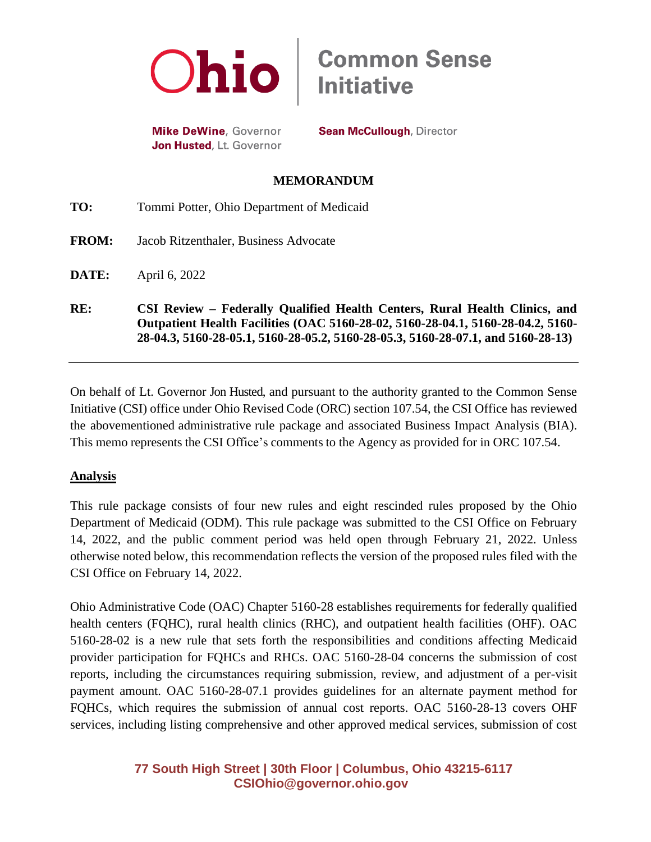

**Mike DeWine**, Governor Jon Husted, Lt. Governor

**Sean McCullough, Director** 

### **MEMORANDUM**

| RE:          | CSI Review – Federally Qualified Health Centers, Rural Health Clinics, and<br>Outpatient Health Facilities (OAC 5160-28-02, 5160-28-04.1, 5160-28-04.2, 5160-<br>28-04.3, 5160-28-05.1, 5160-28-05.2, 5160-28-05.3, 5160-28-07.1, and 5160-28-13) |
|--------------|---------------------------------------------------------------------------------------------------------------------------------------------------------------------------------------------------------------------------------------------------|
| DATE:        | April 6, 2022                                                                                                                                                                                                                                     |
| <b>FROM:</b> | Jacob Ritzenthaler, Business Advocate                                                                                                                                                                                                             |
| TO:          | Tommi Potter, Ohio Department of Medicaid                                                                                                                                                                                                         |

On behalf of Lt. Governor Jon Husted, and pursuant to the authority granted to the Common Sense Initiative (CSI) office under Ohio Revised Code (ORC) section 107.54, the CSI Office has reviewed the abovementioned administrative rule package and associated Business Impact Analysis (BIA). This memo represents the CSI Office's comments to the Agency as provided for in ORC 107.54.

## **Analysis**

This rule package consists of four new rules and eight rescinded rules proposed by the Ohio Department of Medicaid (ODM). This rule package was submitted to the CSI Office on February 14, 2022, and the public comment period was held open through February 21, 2022. Unless otherwise noted below, this recommendation reflects the version of the proposed rules filed with the CSI Office on February 14, 2022.

Ohio Administrative Code (OAC) Chapter 5160-28 establishes requirements for federally qualified health centers (FQHC), rural health clinics (RHC), and outpatient health facilities (OHF). OAC 5160-28-02 is a new rule that sets forth the responsibilities and conditions affecting Medicaid provider participation for FQHCs and RHCs. OAC 5160-28-04 concerns the submission of cost reports, including the circumstances requiring submission, review, and adjustment of a per-visit payment amount. OAC 5160-28-07.1 provides guidelines for an alternate payment method for FQHCs, which requires the submission of annual cost reports. OAC 5160-28-13 covers OHF services, including listing comprehensive and other approved medical services, submission of cost

# **77 South High Street | 30th Floor | Columbus, Ohio 43215-6117 [CSIOhio@governor.ohio.gov](mailto:CSIOhio@governor.ohio.gov)**